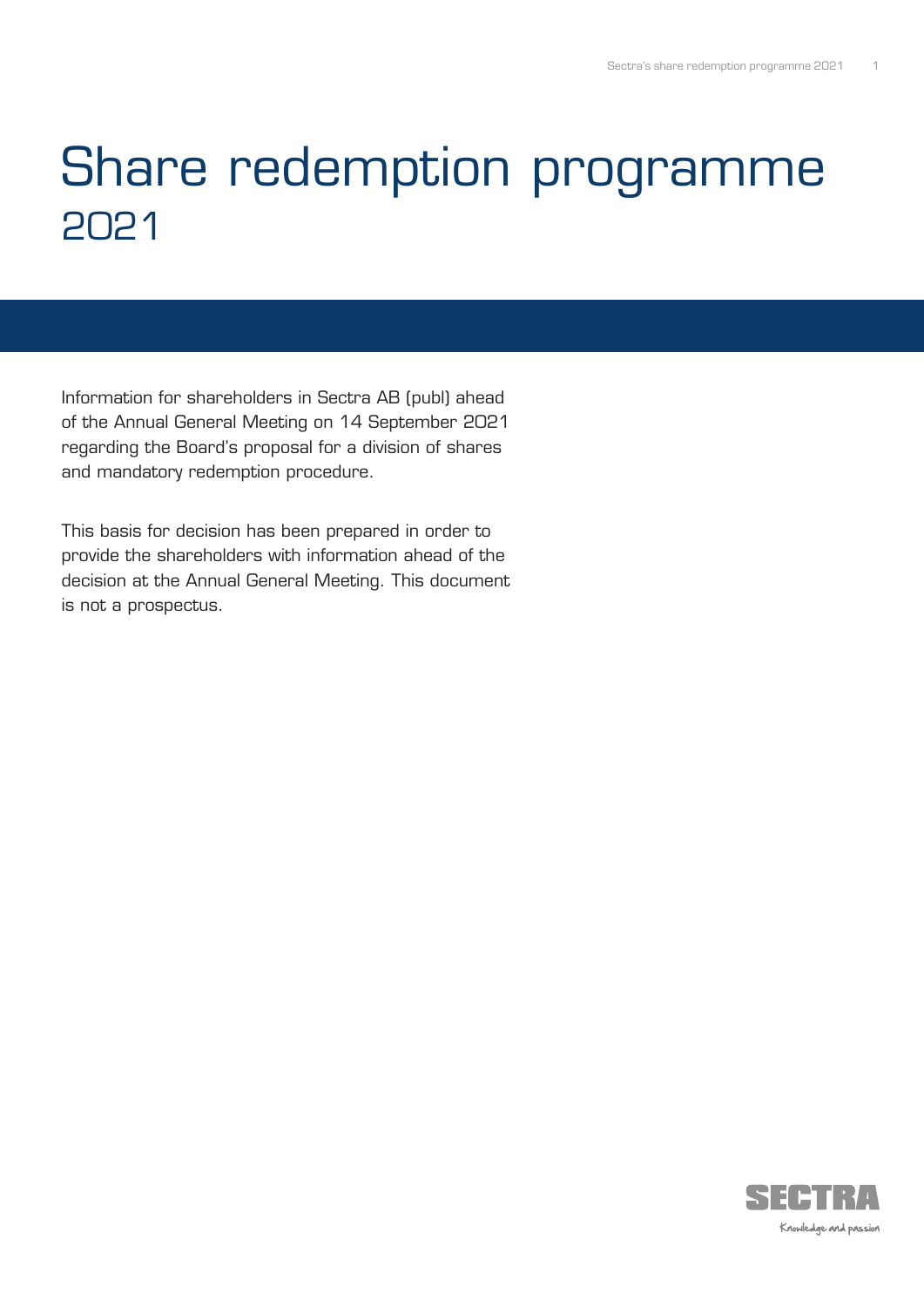# Share redemption programme 2021

Information for shareholders in Sectra AB (publ) ahead of the Annual General Meeting on 14 September 2021 regarding the Board's proposal for a division of shares and mandatory redemption procedure.

This basis for decision has been prepared in order to provide the shareholders with information ahead of the decision at the Annual General Meeting. This document is not a prospectus.

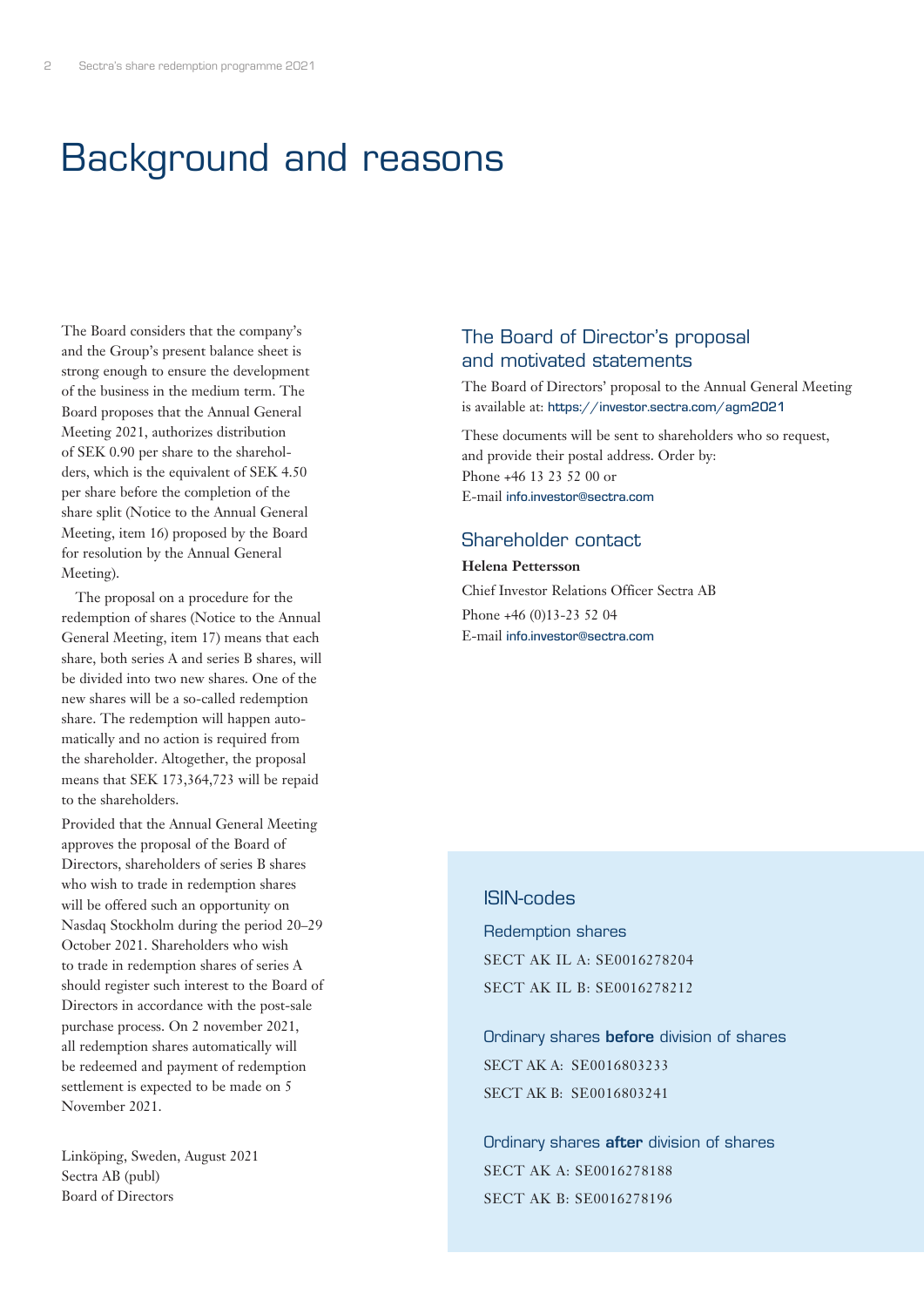# Background and reasons

The Board considers that the company's and the Group's present balance sheet is strong enough to ensure the development of the business in the medium term. The Board proposes that the Annual General Meeting 2021, authorizes distribution of SEK 0.90 per share to the shareholders, which is the equivalent of SEK 4.50 per share before the completion of the share split (Notice to the Annual General Meeting, item 16) proposed by the Board for resolution by the Annual General Meeting).

The proposal on a procedure for the redemption of shares (Notice to the Annual General Meeting, item 17) means that each share, both series A and series B shares, will be divided into two new shares. One of the new shares will be a so-called redemption share. The redemption will happen automatically and no action is required from the shareholder. Altogether, the proposal means that SEK 173,364,723 will be repaid to the shareholders.

Provided that the Annual General Meeting approves the proposal of the Board of Directors, shareholders of series B shares who wish to trade in redemption shares will be offered such an opportunity on Nasdaq Stockholm during the period 20–29 October 2021. Shareholders who wish to trade in redemption shares of series A should register such interest to the Board of Directors in accordance with the post-sale purchase process. On 2 november 2021, all redemption shares automatically will be redeemed and payment of redemption settlement is expected to be made on 5 November 2021.

Linköping, Sweden, August 2021 Sectra AB (publ) Board of Directors

### The Board of Director's proposal and motivated statements

The Board of Directors' proposal to the Annual General Meeting is available at: https://investor.sectra.com/agm2021

These documents will be sent to shareholders who so request, and provide their postal address. Order by: Phone +46 13 23 52 00 or E-mail info.investor@sectra.com

### Shareholder contact

**Helena Pettersson** Chief Investor Relations Officer Sectra AB Phone +46 (0)13-23 52 04 E-mail info.investor@sectra.com

#### ISIN-codes

Redemption shares SECT AK IL A: SE0016278204 SECT AK IL B: SE0016278212

Ordinary shares before division of shares SECT AK A: SE0016803233 SECT AK B: SE0016803241

Ordinary shares after division of shares SECT AK A: SE0016278188 SECT AK B: SE0016278196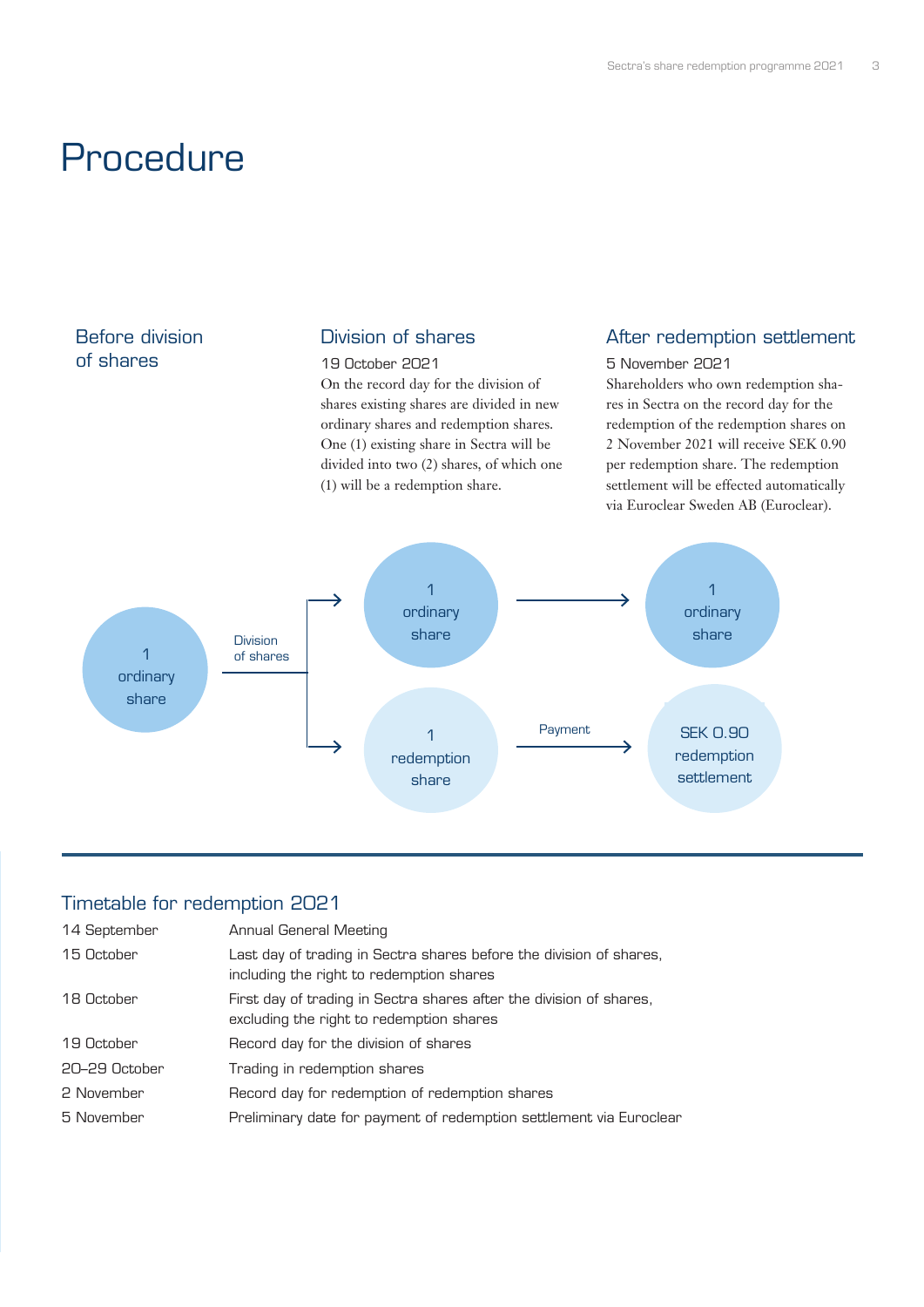# Procedure

# Before division of shares

### Division of shares

#### 19 October 2021

On the record day for the division of shares existing shares are divided in new ordinary shares and redemption shares. One (1) existing share in Sectra will be divided into two (2) shares, of which one (1) will be a redemption share.

# After redemption settlement

5 November 2021 Shareholders who own redemption shares in Sectra on the record day for the redemption of the redemption shares on 2 November 2021 will receive SEK 0.90 per redemption share. The redemption settlement will be effected automatically via Euroclear Sweden AB (Euroclear).



## Timetable for redemption 2021

| 14 September  | Annual General Meeting                                                                                          |
|---------------|-----------------------------------------------------------------------------------------------------------------|
| 15 October    | Last day of trading in Sectra shares before the division of shares,<br>including the right to redemption shares |
| 18 October    | First day of trading in Sectra shares after the division of shares,<br>excluding the right to redemption shares |
| 19 October    | Record day for the division of shares                                                                           |
| 20–29 October | Trading in redemption shares                                                                                    |
| 2 November    | Record day for redemption of redemption shares                                                                  |
| 5 November    | Preliminary date for payment of redemption settlement via Euroclear                                             |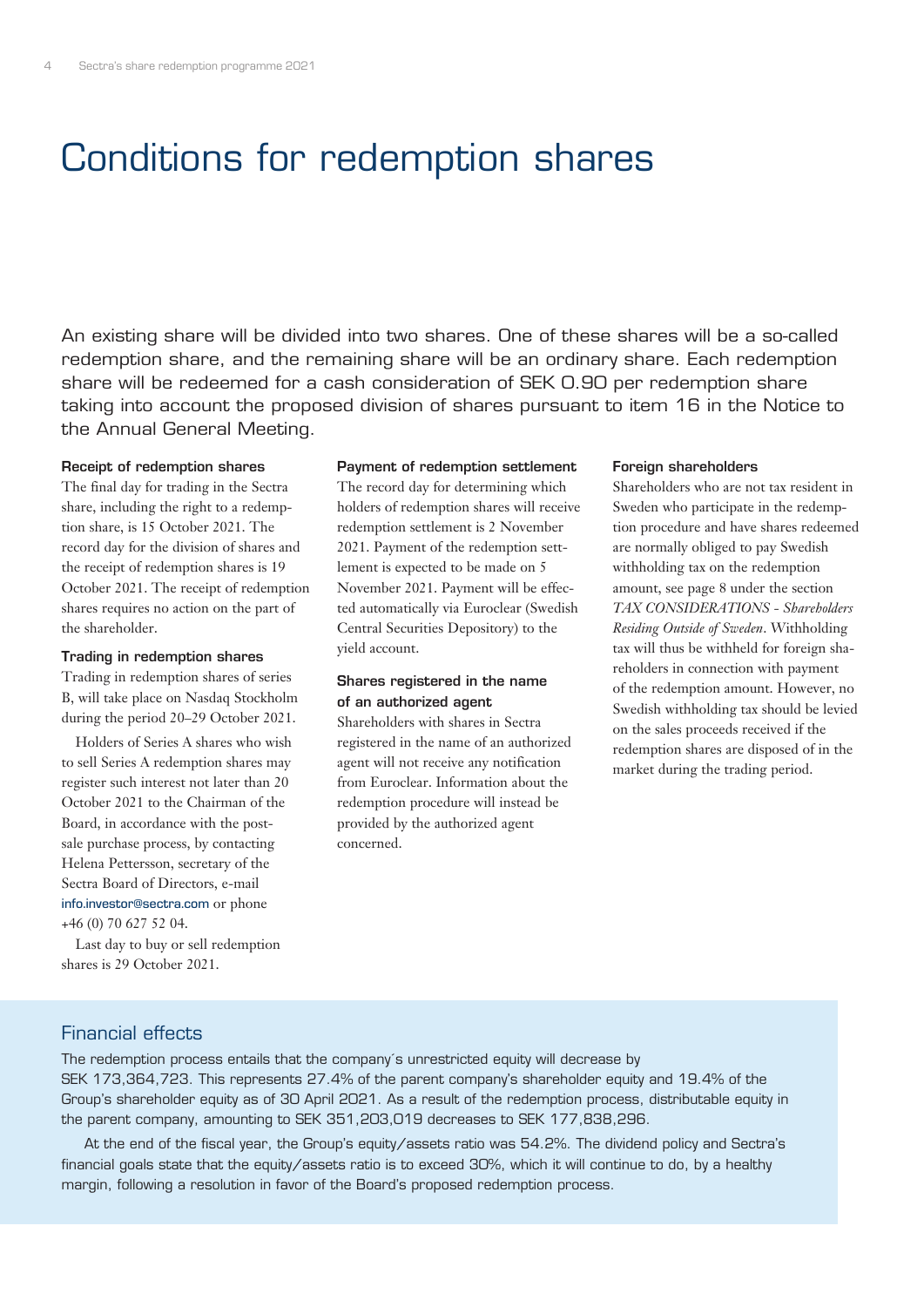# Conditions for redemption shares

An existing share will be divided into two shares. One of these shares will be a so-called redemption share, and the remaining share will be an ordinary share. Each redemption share will be redeemed for a cash consideration of SEK 0.90 per redemption share taking into account the proposed division of shares pursuant to item 16 in the Notice to the Annual General Meeting.

#### Receipt of redemption shares

The final day for trading in the Sectra share, including the right to a redemption share, is 15 October 2021. The record day for the division of shares and the receipt of redemption shares is 19 October 2021. The receipt of redemption shares requires no action on the part of the shareholder.

#### Trading in redemption shares

Trading in redemption shares of series B, will take place on Nasdaq Stockholm during the period 20–29 October 2021.

Holders of Series A shares who wish to sell Series A redemption shares may register such interest not later than 20 October 2021 to the Chairman of the Board, in accordance with the postsale purchase process, by contacting Helena Pettersson, secretary of the Sectra Board of Directors, e-mail info.investor@sectra.com or phone +46 (0) 70 627 52 04.

Last day to buy or sell redemption shares is 29 October 2021.

#### Payment of redemption settlement

The record day for determining which holders of redemption shares will receive redemption settlement is 2 November 2021. Payment of the redemption settlement is expected to be made on 5 November 2021. Payment will be effected automatically via Euroclear (Swedish Central Securities Depository) to the yield account.

#### Shares registered in the name of an authorized agent

Shareholders with shares in Sectra registered in the name of an authorized agent will not receive any notification from Euroclear. Information about the redemption procedure will instead be provided by the authorized agent concerned.

#### Foreign shareholders

Shareholders who are not tax resident in Sweden who participate in the redemption procedure and have shares redeemed are normally obliged to pay Swedish withholding tax on the redemption amount, see page 8 under the section *TAX CONSIDERATIONS - Shareholders Residing Outside of Sweden*. Withholding tax will thus be withheld for foreign shareholders in connection with payment of the redemption amount. However, no Swedish withholding tax should be levied on the sales proceeds received if the redemption shares are disposed of in the market during the trading period.

#### Financial effects

The redemption process entails that the company´s unrestricted equity will decrease by SEK 173,364,723. This represents 27.4% of the parent company's shareholder equity and 19.4% of the Group's shareholder equity as of 30 April 2021. As a result of the redemption process, distributable equity in the parent company, amounting to SEK 351,203,019 decreases to SEK 177,838,296.

At the end of the fiscal year, the Group's equity/assets ratio was 54.2%. The dividend policy and Sectra's financial goals state that the equity/assets ratio is to exceed 30%, which it will continue to do, by a healthy margin, following a resolution in favor of the Board's proposed redemption process.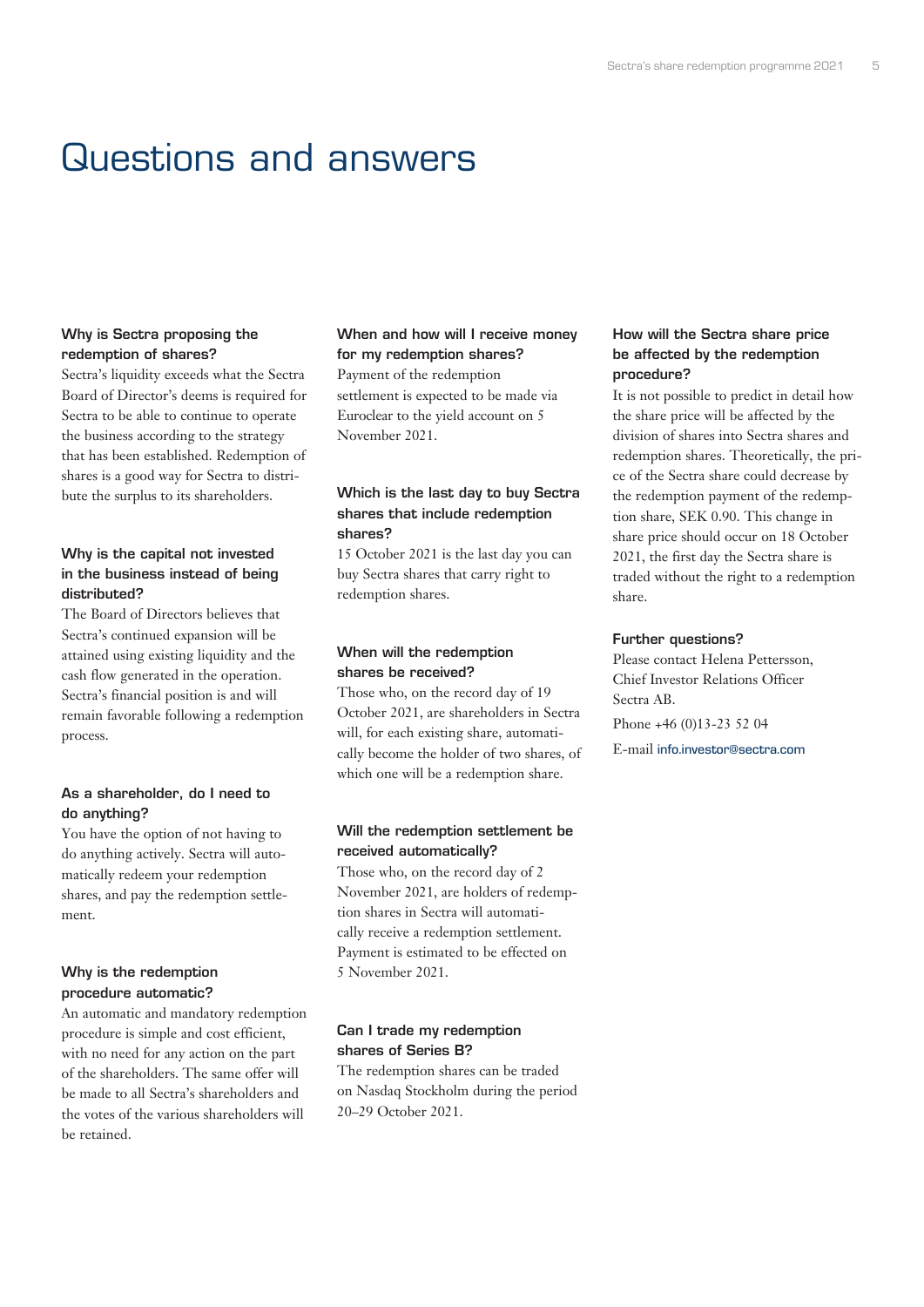# Questions and answers

#### Why is Sectra proposing the redemption of shares?

Sectra's liquidity exceeds what the Sectra Board of Director's deems is required for Sectra to be able to continue to operate the business according to the strategy that has been established. Redemption of shares is a good way for Sectra to distribute the surplus to its shareholders.

#### Why is the capital not invested in the business instead of being distributed?

The Board of Directors believes that Sectra's continued expansion will be attained using existing liquidity and the cash flow generated in the operation. Sectra's financial position is and will remain favorable following a redemption process.

#### As a shareholder, do I need to do anything?

You have the option of not having to do anything actively. Sectra will automatically redeem your redemption shares, and pay the redemption settlement.

#### Why is the redemption procedure automatic?

An automatic and mandatory redemption procedure is simple and cost efficient, with no need for any action on the part of the shareholders. The same offer will be made to all Sectra's shareholders and the votes of the various shareholders will be retained.

### When and how will I receive money for my redemption shares?

Payment of the redemption settlement is expected to be made via Euroclear to the yield account on 5 November 2021.

#### Which is the last day to buy Sectra shares that include redemption shares?

15 October 2021 is the last day you can buy Sectra shares that carry right to redemption shares.

#### When will the redemption shares be received?

Those who, on the record day of 19 October 2021, are shareholders in Sectra will, for each existing share, automatically become the holder of two shares, of which one will be a redemption share.

#### Will the redemption settlement be received automatically?

Those who, on the record day of 2 November 2021, are holders of redemption shares in Sectra will automatically receive a redemption settlement. Payment is estimated to be effected on 5 November 2021.

#### Can I trade my redemption shares of Series B?

The redemption shares can be traded on Nasdaq Stockholm during the period 20–29 October 2021.

#### How will the Sectra share price be affected by the redemption procedure?

It is not possible to predict in detail how the share price will be affected by the division of shares into Sectra shares and redemption shares. Theoretically, the price of the Sectra share could decrease by the redemption payment of the redemption share, SEK 0.90. This change in share price should occur on 18 October 2021, the first day the Sectra share is traded without the right to a redemption share.

#### Further questions?

Please contact Helena Pettersson, Chief Investor Relations Officer Sectra AB. Phone +46 (0)13-23 52 04

E-mail info.investor@sectra.com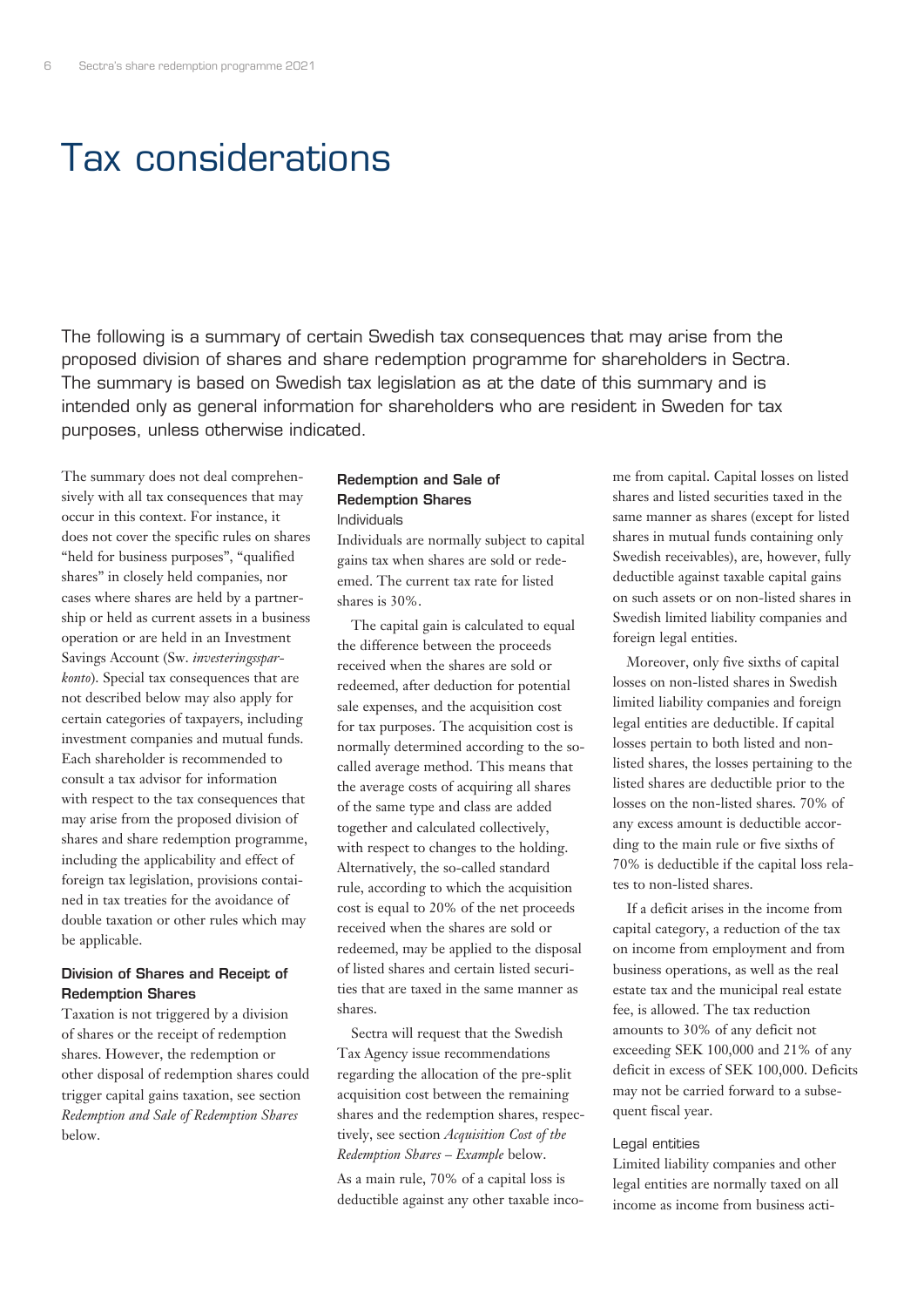# Tax considerations

The following is a summary of certain Swedish tax consequences that may arise from the proposed division of shares and share redemption programme for shareholders in Sectra. The summary is based on Swedish tax legislation as at the date of this summary and is intended only as general information for shareholders who are resident in Sweden for tax purposes, unless otherwise indicated.

The summary does not deal comprehensively with all tax consequences that may occur in this context. For instance, it does not cover the specific rules on shares "held for business purposes", "qualified shares" in closely held companies, nor cases where shares are held by a partnership or held as current assets in a business operation or are held in an Investment Savings Account (Sw. *investeringssparkonto*). Special tax consequences that are not described below may also apply for certain categories of taxpayers, including investment companies and mutual funds. Each shareholder is recommended to consult a tax advisor for information with respect to the tax consequences that may arise from the proposed division of shares and share redemption programme, including the applicability and effect of foreign tax legislation, provisions contained in tax treaties for the avoidance of double taxation or other rules which may be applicable.

#### Division of Shares and Receipt of Redemption Shares

Taxation is not triggered by a division of shares or the receipt of redemption shares. However, the redemption or other disposal of redemption shares could trigger capital gains taxation, see section *Redemption and Sale of Redemption Shares* below.

### Redemption and Sale of Redemption Shares

Individuals

Individuals are normally subject to capital gains tax when shares are sold or redeemed. The current tax rate for listed shares is 30%.

The capital gain is calculated to equal the difference between the proceeds received when the shares are sold or redeemed, after deduction for potential sale expenses, and the acquisition cost for tax purposes. The acquisition cost is normally determined according to the socalled average method. This means that the average costs of acquiring all shares of the same type and class are added together and calculated collectively, with respect to changes to the holding. Alternatively, the so-called standard rule, according to which the acquisition cost is equal to 20% of the net proceeds received when the shares are sold or redeemed, may be applied to the disposal of listed shares and certain listed securities that are taxed in the same manner as shares.

Sectra will request that the Swedish Tax Agency issue recommendations regarding the allocation of the pre-split acquisition cost between the remaining shares and the redemption shares, respectively, see section *Acquisition Cost of the Redemption Shares – Example* below.

As a main rule, 70% of a capital loss is deductible against any other taxable income from capital. Capital losses on listed shares and listed securities taxed in the same manner as shares (except for listed shares in mutual funds containing only Swedish receivables), are, however, fully deductible against taxable capital gains on such assets or on non-listed shares in Swedish limited liability companies and foreign legal entities.

Moreover, only five sixths of capital losses on non-listed shares in Swedish limited liability companies and foreign legal entities are deductible. If capital losses pertain to both listed and nonlisted shares, the losses pertaining to the listed shares are deductible prior to the losses on the non-listed shares. 70% of any excess amount is deductible according to the main rule or five sixths of 70% is deductible if the capital loss relates to non-listed shares.

If a deficit arises in the income from capital category, a reduction of the tax on income from employment and from business operations, as well as the real estate tax and the municipal real estate fee, is allowed. The tax reduction amounts to 30% of any deficit not exceeding SEK 100,000 and 21% of any deficit in excess of SEK 100,000. Deficits may not be carried forward to a subsequent fiscal year.

#### Legal entities

Limited liability companies and other legal entities are normally taxed on all income as income from business acti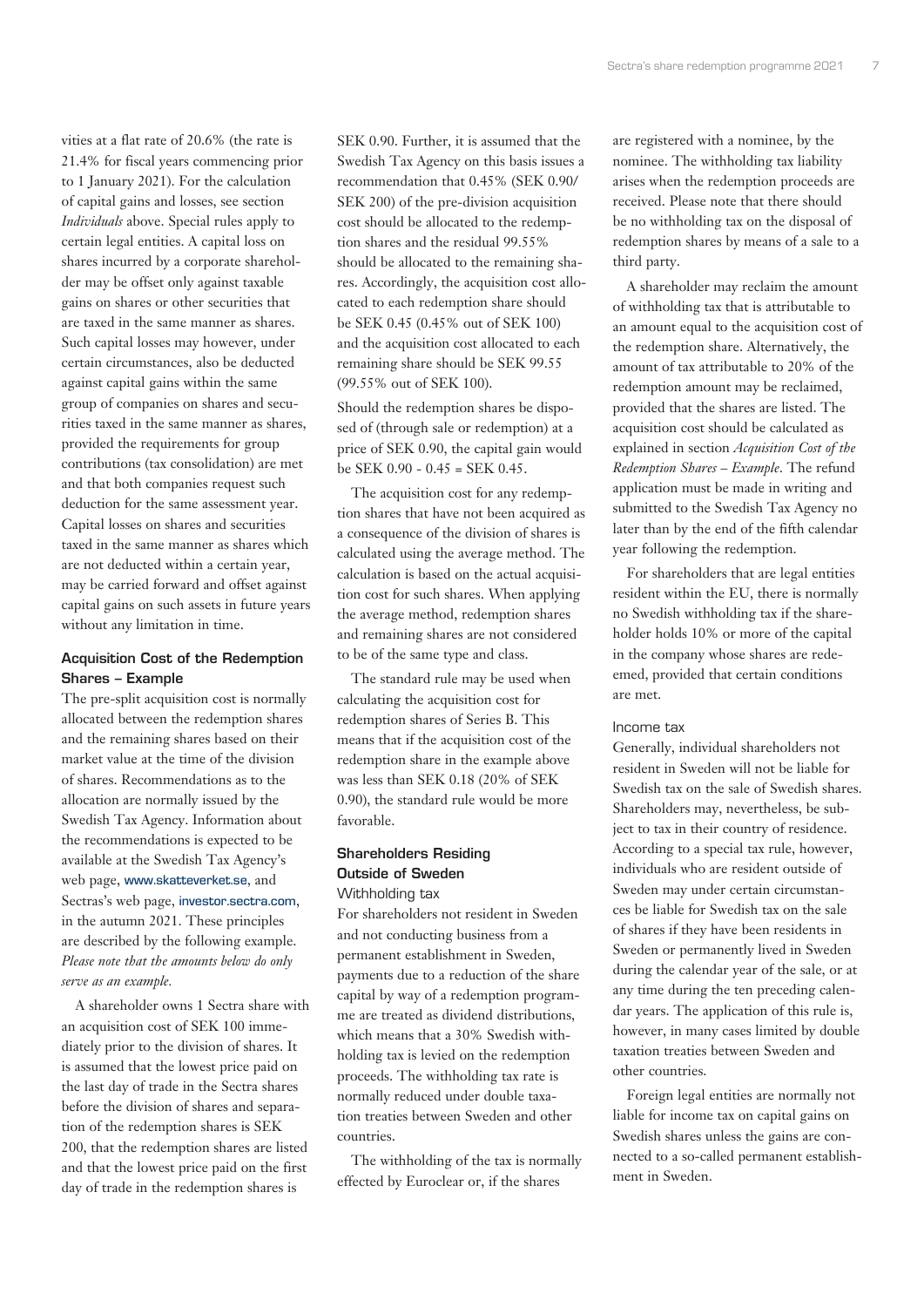vities at a flat rate of 20.6% (the rate is 21.4% for fiscal years commencing prior to 1 January 2021). For the calculation of capital gains and losses, see section *Individuals* above. Special rules apply to certain legal entities. A capital loss on shares incurred by a corporate shareholder may be offset only against taxable gains on shares or other securities that are taxed in the same manner as shares. Such capital losses may however, under certain circumstances, also be deducted against capital gains within the same group of companies on shares and securities taxed in the same manner as shares, provided the requirements for group contributions (tax consolidation) are met and that both companies request such deduction for the same assessment year. Capital losses on shares and securities taxed in the same manner as shares which are not deducted within a certain year, may be carried forward and offset against capital gains on such assets in future years without any limitation in time.

#### Acquisition Cost of the Redemption Shares – Example

The pre-split acquisition cost is normally allocated between the redemption shares and the remaining shares based on their market value at the time of the division of shares. Recommendations as to the allocation are normally issued by the Swedish Tax Agency. Information about the recommendations is expected to be available at the Swedish Tax Agency's web page, www.skatteverket.se, and Sectras's web page, investor.sectra.com, in the autumn 2021. These principles are described by the following example. *Please note that the amounts below do only serve as an example.*

A shareholder owns 1 Sectra share with an acquisition cost of SEK 100 immediately prior to the division of shares. It is assumed that the lowest price paid on the last day of trade in the Sectra shares before the division of shares and separation of the redemption shares is SEK 200, that the redemption shares are listed and that the lowest price paid on the first day of trade in the redemption shares is

SEK 0.90. Further, it is assumed that the Swedish Tax Agency on this basis issues a recommendation that 0.45% (SEK 0.90/ SEK 200) of the pre-division acquisition cost should be allocated to the redemption shares and the residual 99.55% should be allocated to the remaining shares. Accordingly, the acquisition cost allocated to each redemption share should be SEK 0.45 (0.45% out of SEK 100) and the acquisition cost allocated to each remaining share should be SEK 99.55 (99.55% out of SEK 100).

Should the redemption shares be disposed of (through sale or redemption) at a price of SEK 0.90, the capital gain would be SEK 0.90 - 0.45 = SEK 0.45.

The acquisition cost for any redemption shares that have not been acquired as a consequence of the division of shares is calculated using the average method. The calculation is based on the actual acquisition cost for such shares. When applying the average method, redemption shares and remaining shares are not considered to be of the same type and class.

The standard rule may be used when calculating the acquisition cost for redemption shares of Series B. This means that if the acquisition cost of the redemption share in the example above was less than SEK 0.18 (20% of SEK 0.90), the standard rule would be more favorable.

#### Shareholders Residing Outside of Sweden Withholding tax

For shareholders not resident in Sweden and not conducting business from a permanent establishment in Sweden, payments due to a reduction of the share capital by way of a redemption programme are treated as dividend distributions, which means that a 30% Swedish withholding tax is levied on the redemption proceeds. The withholding tax rate is normally reduced under double taxation treaties between Sweden and other countries.

The withholding of the tax is normally effected by Euroclear or, if the shares

are registered with a nominee, by the nominee. The withholding tax liability arises when the redemption proceeds are received. Please note that there should be no withholding tax on the disposal of redemption shares by means of a sale to a third party.

A shareholder may reclaim the amount of withholding tax that is attributable to an amount equal to the acquisition cost of the redemption share. Alternatively, the amount of tax attributable to 20% of the redemption amount may be reclaimed, provided that the shares are listed. The acquisition cost should be calculated as explained in section *Acquisition Cost of the Redemption Shares – Example*. The refund application must be made in writing and submitted to the Swedish Tax Agency no later than by the end of the fifth calendar year following the redemption.

For shareholders that are legal entities resident within the EU, there is normally no Swedish withholding tax if the shareholder holds 10% or more of the capital in the company whose shares are redeemed, provided that certain conditions are met.

#### Income tax

Generally, individual shareholders not resident in Sweden will not be liable for Swedish tax on the sale of Swedish shares. Shareholders may, nevertheless, be subject to tax in their country of residence. According to a special tax rule, however, individuals who are resident outside of Sweden may under certain circumstances be liable for Swedish tax on the sale of shares if they have been residents in Sweden or permanently lived in Sweden during the calendar year of the sale, or at any time during the ten preceding calendar years. The application of this rule is, however, in many cases limited by double taxation treaties between Sweden and other countries.

Foreign legal entities are normally not liable for income tax on capital gains on Swedish shares unless the gains are connected to a so-called permanent establishment in Sweden.